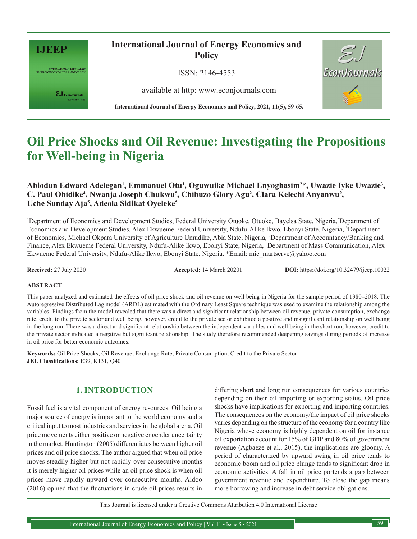

INTERNATIONAL JOURNAL OF<br>ENERGY ECONOMICS AND POLICY

 $\pmb{\varepsilon} \mathbf{J}_{\text{\tiny{EconJournals}}}$ 

**International Journal of Energy Economics and Policy**

ISSN: 2146-4553

available at http: www.econjournals.com

**International Journal of Energy Economics and Policy, 2021, 11(5), 59-65.**



# **Oil Price Shocks and Oil Revenue: Investigating the Propositions for Well-being in Nigeria**

# Abiodun Edward Adelegan<sup>1</sup>, Emmanuel Otu<sup>1</sup>, Oguwuike Michael Enyoghasim<sup>2\*</sup>, Uwazie Iyke Uwazie<sup>3</sup>, C. Paul Obidike<sup>4</sup>, Nwanja Joseph Chukwu<sup>5</sup>, Chibuzo Glory Agu<sup>2</sup>, Clara Kelechi Anyanwu<sup>2</sup>, **Uche Sunday Aja5 , Adeola Sidikat Oyeleke5**

<sup>1</sup>Department of Economics and Development Studies, Federal University Otuoke, Otuoke, Bayelsa State, Nigeria,<sup>2</sup>Department of Economics and Development Studies, Alex Ekwueme Federal University, Ndufu-Alike Ikwo, Ebonyi State, Nigeria, 3 Department of Economics, Michael Okpara University of Agriculture Umudike, Abia State, Nigeria, 4 Department of Accountancy/Banking and Finance, Alex Ekwueme Federal University, Ndufu-Alike Ikwo, Ebonyi State, Nigeria, 5 Department of Mass Communication, Alex Ekwueme Federal University, Ndufu-Alike Ikwo, Ebonyi State, Nigeria. \*Email: mic\_martserve@yahoo.com

**Received:** 27 July 2020 **Accepted:** 14 March 20201 **DOI:** https://doi.org/10.32479/ijeep.10022

#### **ABSTRACT**

This paper analyzed and estimated the effects of oil price shock and oil revenue on well being in Nigeria for the sample period of 1980–2018. The Autoregressive Distributed Lag model (ARDL) estimated with the Ordinary Least Square technique was used to examine the relationship among the variables. Findings from the model revealed that there was a direct and significant relationship between oil revenue, private consumption, exchange rate, credit to the private sector and well being, however, credit to the private sector exhibited a positive and insignificant relationship on well being in the long run. There was a direct and significant relationship between the independent variables and well being in the short run; however, credit to the private sector indicated a negative but significant relationship. The study therefore recommended deepening savings during periods of increase in oil price for better economic outcomes.

**Keywords:** Oil Price Shocks, Oil Revenue, Exchange Rate, Private Consumption, Credit to the Private Sector **JEL Classifications:** E39, K131, Q40

## **1. INTRODUCTION**

Fossil fuel is a vital component of energy resources. Oil being a major source of energy is important to the world economy and a critical input to most industries and services in the global arena. Oil price movements either positive or negative engender uncertainty in the market. Huntington (2005) differentiates between higher oil prices and oil price shocks. The author argued that when oil price moves steadily higher but not rapidly over consecutive months it is merely higher oil prices while an oil price shock is when oil prices move rapidly upward over consecutive months. Aidoo (2016) opined that the fluctuations in crude oil prices results in

differing short and long run consequences for various countries depending on their oil importing or exporting status. Oil price shocks have implications for exporting and importing countries. The consequences on the economy/the impact of oil price shocks varies depending on the structure of the economy for a country like Nigeria whose economy is highly dependent on oil for instance oil exportation account for 15% of GDP and 80% of government revenue (Agbaeze et al., 2015), the implications are gloomy. A period of characterized by upward swing in oil price tends to economic boom and oil price plunge tends to significant drop in economic activities. A fall in oil price portends a gap between government revenue and expenditure. To close the gap means more borrowing and increase in debt service obligations.

This Journal is licensed under a Creative Commons Attribution 4.0 International License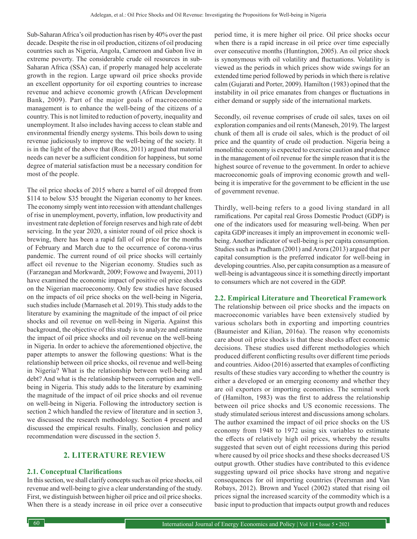Sub-Saharan Africa's oil production has risen by 40% over the past decade. Despite the rise in oil production, citizens of oil producing countries such as Nigeria, Angola, Cameroon and Gabon live in extreme poverty. The considerable crude oil resources in sub-Saharan Africa (SSA) can, if properly managed help accelerate growth in the region. Large upward oil price shocks provide an excellent opportunity for oil exporting countries to increase revenue and achieve economic growth (African Development Bank, 2009). Part of the major goals of macroeconomic management is to enhance the well-being of the citizens of a country. This is not limited to reduction of poverty, inequality and unemployment. It also includes having access to clean stable and environmental friendly energy systems. This boils down to using revenue judiciously to improve the well-being of the society. It is in the light of the above that (Ross, 2011) argued that material needs can never be a sufficient condition for happiness, but some degree of material satisfaction must be a necessary condition for most of the people.

The oil price shocks of 2015 where a barrel of oil dropped from \$114 to below \$35 brought the Nigerian economy to her knees. The economy simply went into recession with attendant challenges of rise in unemployment, poverty, inflation, low productivity and investment rate depletion of foreign reserves and high rate of debt servicing. In the year 2020, a sinister round of oil price shock is brewing, there has been a rapid fall of oil price for the months of February and March due to the occurrence of corona-virus pandemic. The current round of oil price shocks will certainly affect oil revenue to the Nigerian economy. Studies such as (Farzanegan and Morkwardt, 2009; Fowowe and Iwayemi, 2011) have examined the economic impact of positive oil price shocks on the Nigerian macroeconomy. Only few studies have focused on the impacts of oil price shocks on the well-being in Nigeria, such studies include (Marnaseh et al. 2019). This study adds to the literature by examining the magnitude of the impact of oil price shocks and oil revenue on well-being in Nigeria. Against this background, the objective of this study is to analyze and estimate the impact of oil price shocks and oil revenue on the well-being in Nigeria. In order to achieve the aforementioned objective, the paper attempts to answer the following questions: What is the relationship between oil price shocks, oil revenue and well-being in Nigeria? What is the relationship between well-being and debt? And what is the relationship between corruption and wellbeing in Nigeria. This study adds to the literature by examining the magnitude of the impact of oil price shocks and oil revenue on well-being in Nigeria. Following the introductory section is section 2 which handled the review of literature and in section 3, we discussed the research methodology. Section 4 present and discussed the empirical results. Finally, conclusion and policy recommendation were discussed in the section 5.

# **2. LITERATURE REVIEW**

## **2.1. Conceptual Clarifications**

In this section, we shall clarify concepts such as oil price shocks, oil revenue and well-being to give a clear understanding of the study. First, we distinguish between higher oil price and oil price shocks. When there is a steady increase in oil price over a consecutive period time, it is mere higher oil price. Oil price shocks occur when there is a rapid increase in oil price over time especially over consecutive months (Huntington, 2005). An oil price shock is synonymous with oil volatility and fluctuations. Volatility is viewed as the periods in which prices show wide swings for an extended time period followed by periods in which there is relative calm (Gujarati and Porter, 2009). Hamilton (1983) opined that the instability in oil price emanates from changes or fluctuations in either demand or supply side of the international markets.

Secondly, oil revenue comprises of crude oil sales, taxes on oil exploration companies and oil rents (Maneseh, 2019). The largest chunk of them all is crude oil sales, which is the product of oil price and the quantity of crude oil production. Nigeria being a monolithic economy is expected to exercise caution and prudence in the management of oil revenue for the simple reason that it is the highest source of revenue to the government. In order to achieve macroeconomic goals of improving economic growth and wellbeing it is imperative for the government to be efficient in the use of government revenue.

Thirdly, well-being refers to a good living standard in all ramifications. Per capital real Gross Domestic Product (GDP) is one of the indicators used for measuring well-being. When per capita GDP increases it imply an improvement in economic wellbeing. Another indicator of well-being is per capita consumption. Studies such as Pradham (2001) and Arora (2013) argued that per capital consumption is the preferred indicator for well-being in developing countries. Also, per capita consumption as a measure of well-being is advantageous since it is something directly important to consumers which are not covered in the GDP.

#### **2.2. Empirical Literature and Theoretical Framework**

The relationship between oil price shocks and the impacts on macroeconomic variables have been extensively studied by various scholars both in exporting and importing countries (Baumeister and Kilian, 2016a). The reason why economists care about oil price shocks is that these shocks affect economic decisions. These studies used different methodologies which produced different conflicting results over different time periods and countries. Aidoo (2016) asserted that examples of conflicting results of these studies vary according to whether the country is either a developed or an emerging economy and whether they are oil exporters or importing economies. The seminal work of (Hamilton, 1983) was the first to address the relationship between oil price shocks and US economic recessions. The study stimulated serious interest and discussions among scholars. The author examined the impact of oil price shocks on the US economy from 1948 to 1972 using six variables to estimate the effects of relatively high oil prices, whereby the results suggested that seven out of eight recessions during this period where caused by oil price shocks and these shocks decreased US output growth. Other studies have contributed to this evidence suggesting upward oil price shocks have strong and negative consequences for oil importing countries (Peersman and Van Robays, 2012). Brown and Yucel (2002) stated that rising oil prices signal the increased scarcity of the commodity which is a basic input to production that impacts output growth and reduces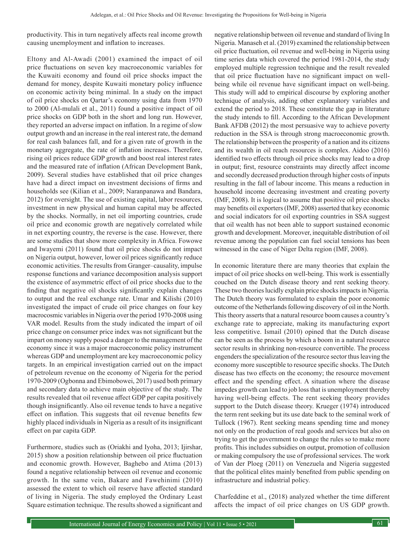productivity. This in turn negatively affects real income growth causing unemployment and inflation to increases.

Eltony and Al-Awadi (2001) examined the impact of oil price fluctuations on seven key macroeconomic variables for the Kuwaiti economy and found oil price shocks impact the demand for money, despite Kuwaiti monetary policy influence on economic activity being minimal. In a study on the impact of oil price shocks on Qartar's economy using data from 1970 to 2000 (Al-mulali et al., 2011) found a positive impact of oil price shocks on GDP both in the short and long run. However, they reported an adverse impact on inflation. In a regime of slow output growth and an increase in the real interest rate, the demand for real cash balances fall, and for a given rate of growth in the monetary aggregate, the rate of inflation increases. Therefore, rising oil prices reduce GDP growth and boost real interest rates and the measured rate of inflation (African Development Bank, 2009). Several studies have established that oil price changes have had a direct impact on investment decisions of firms and households see (Kilian et al., 2009; Naranpanawa and Bandara, 2012) for oversight. The use of existing capital, labor resources, investment in new physical and human capital may be affected by the shocks. Normally, in net oil importing countries, crude oil price and economic growth are negatively correlated while in net exporting country, the reverse is the case. However, there are some studies that show more complexity in Africa. Fowowe and Iwayemi (2011) found that oil price shocks do not impact on Nigeria output, however, lower oil prices significantly reduce economic activities. The results from Granger–causality, impulse response functions and variance decomposition analysis support the existence of asymmetric effect of oil price shocks due to the finding that negative oil shocks significantly explain changes to output and the real exchange rate. Umar and Kilishi (2010) investigated the impact of crude oil price changes on four key macrocosmic variables in Nigeria over the period 1970-2008 using VAR model. Results from the study indicated the impart of oil price change on consumer price index was not significant but the impart on money supply posed a danger to the management of the economy since it was a major macroeconomic policy instrument whereas GDP and unemployment are key macroeconomic policy targets. In an empirical investigation carried out on the impact of petroleum revenue on the economy of Nigeria for the period 1970-2009 (Ogbonna and Ebimobowei, 2017) used both primary and secondary data to achieve main objective of the study. The results revealed that oil revenue affect GDP per capita positively though insignificantly. Also oil revenue tends to have a negative effect on inflation. This suggests that oil revenue benefits few highly placed individuals in Nigeria as a result of its insignificant effect on par capita GDP.

Furthermore, studies such as (Oriakhi and Iyoha, 2013; Ijirshar, 2015) show a position relationship between oil price fluctuation and economic growth. However, Baghebo and Atima (2013) found a negative relationship between oil revenue and economic growth. In the same vein, Bakare and Fawehinimi (2010) assessed the extent to which oil reserve have affected standard of living in Nigeria. The study employed the Ordinary Least Square estimation technique. The results showed a significant and negative relationship between oil revenue and standard of living In Nigeria. Manaseh et al. (2019) examined the relationship between oil price fluctuation, oil revenue and well-being in Nigeria using time series data which covered the period 1981-2014, the study employed multiple regression technique and the result revealed that oil price fluctuation have no significant impact on wellbeing while oil revenue have significant impact on well-being. This study will add to empirical discourse by exploring another technique of analysis, adding other explanatory variables and extend the period to 2018. These constitute the gap in literature the study intends to fill. According to the African Development Bank AFDB (2012) the most persuasive way to achieve poverty reduction in the SSA is through strong macroeconomic growth. The relationship between the prosperity of a nation and its citizens and its wealth in oil reach resources is complex. Aidoo (2016) identified two effects through oil price shocks may lead to a drop in output; first, resource constraints may directly affect income and secondly decreased production through higher costs of inputs resulting in the fall of labour income. This means a reduction in household income decreasing investment and creating poverty (IMF, 2008). It is logical to assume that positive oil price shocks may benefits oil exporters (IMF, 2008) asserted that key economic and social indicators for oil exporting countries in SSA suggest that oil wealth has not been able to support sustained economic growth and development. Moreover, inequitable distribution of oil revenue among the population can fuel social tensions has been witnessed in the case of Niger Delta region (IMF, 2008).

In economic literature there are many theories that explain the impact of oil price shocks on well-being. This work is essentially couched on the Dutch disease theory and rent seeking theory. These two theories lucidly explain price shocks impacts in Nigeria. The Dutch theory was formulated to explain the poor economic outcome of the Netherlands following discovery of oil in the North. This theory asserts that a natural resource boom causes a country's exchange rate to appreciate, making its manufacturing export less competitive. Ismail (2010) opined that the Dutch disease can be seen as the process by which a boom in a natural resource sector results in shrinking non-resource convertible. The process engenders the specialization of the resource sector thus leaving the economy more susceptible to resource specific shocks. The Dutch disease has two effects on the economy; the resource movement effect and the spending effect. A situation where the disease impedes growth can lead to job loss that is unemployment thereby having well-being effects. The rent seeking theory provides support to the Dutch disease theory. Krueger (1974) introduced the term rent seeking but its use date back to the seminal work of Tullock (1967). Rent seeking means spending time and money not only on the production of real goods and services but also on trying to get the government to change the rules so to make more profits. This includes subsidies on output, promotion of collusion or making compulsory the use of professional services. The work of Van der Ploeg (2011) on Venezuela and Nigeria suggested that the political elites mainly benefited from public spending on infrastructure and industrial policy.

Charfeddine et al., (2018) analyzed whether the time different affects the impact of oil price changes on US GDP growth.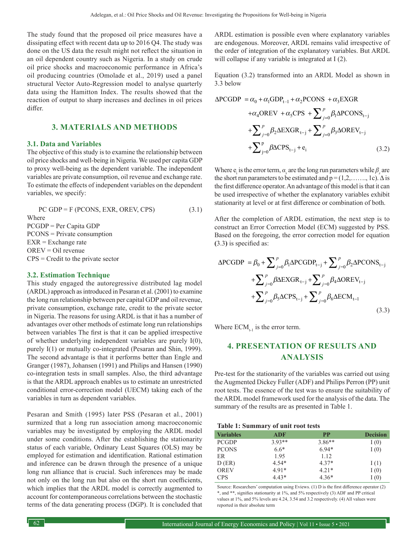The study found that the proposed oil price measures have a dissipating effect with recent data up to 2016 Q4. The study was done on the US data the result might not reflect the situation in an oil dependent country such as Nigeria. In a study on crude oil price shocks and macroeconomic performance in Africa's oil producing countries (Omolade et al., 2019) used a panel structural Vector Auto-Regression model to analyse quarterly data using the Hamitton Index. The results showed that the reaction of output to sharp increases and declines in oil prices differ.

## **3. MATERIALS AND METHODS**

#### **3.1. Data and Variables**

The objective of this study is to examine the relationship between oil price shocks and well-being in Nigeria. We used per capita GDP to proxy well-being as the dependent variable. The independent variables are private consumption, oil revenue and exchange rate. To estimate the effects of independent variables on the dependent variables, we specify:

 $PC GDP = F (PCONS, EXR, OREV, CPS)$  (3.1) Where PCGDP = Per Capita GDP PCONS = Private consumption EXR = Exchange rate OREV = Oil revenue CPS = Credit to the private sector

#### **3.2. Estimation Technique**

This study engaged the autoregressive distributed lag model (ARDL) approach as introduced in Pesaran et al. (2001) to examine the long run relationship between per capital GDP and oil revenue, private consumption, exchange rate, credit to the private sector in Nigeria. The reasons for using ARDL is that it has a number of advantages over other methods of estimate long run relationships between variables The first is that it can be applied irrespective of whether underlying independent variables are purely I(0), purely I(1) or mutually co-integrated (Pesaran and Shin, 1999). The second advantage is that it performs better than Engle and Granger (1987), Johansen (1991) and Philips and Hansen (1990) co-integration tests in small samples. Also, the third advantage is that the ARDL approach enables us to estimate an unrestricted conditional error-correction model (UECM) taking each of the variables in turn as dependent variables.

Pesaran and Smith (1995) later PSS (Pesaran et al., 2001) surmized that a long run association among macroeconomic variables may be investigated by employing the ARDL model under some conditions. After the establishing the stationarity status of each variable, Ordinary Least Squares (OLS) may be employed for estimation and identification. Rational estimation and inference can be drawn through the presence of a unique long run alliance that is crucial. Such inferences may be made not only on the long run but also on the short run coefficients, which implies that the ARDL model is correctly augmented to account for contemporaneous correlations between the stochastic terms of the data generating process (DGP). It is concluded that ARDL estimation is possible even where explanatory variables are endogenous. Moreover, ARDL remains valid irrespective of the order of integration of the explanatory variables. But ARDL will collapse if any variable is integrated at I (2).

Equation (3.2) transformed into an ARDL Model as shown in 3.3 below

$$
\Delta PCGDP = \alpha_0 + \alpha_1 GDP_{t-1} + \alpha_2 PCONS + \alpha_3 EXGR
$$
  
+ $\alpha_4 OREV + \alpha_5 CPS + \sum_{j=0}^{p} \beta_1 \Delta PCONS_{t-j}$   
+ $\sum_{j=0}^{p} \beta_2 \Delta EXGR_{t-j} + \sum_{j=0}^{p} \beta_3 \Delta OREV_{t-j}$   
+ $\sum_{j=0}^{p} \beta \Delta CPS_{t-j} + e_i$  (3.2)

Where  $e_i$  is the error term,  $\alpha_s$  are the long run parameters while  $\beta_s$  are the short run parameters to be estimated and  $p = (1, 2, \ldots, 1c)$ .  $\Delta$  is the first difference operator. An advantage of this model is that it can be used irrespective of whether the explanatory variables exhibit stationarity at level or at first difference or combination of both.

After the completion of ARDL estimation, the next step is to construct an Error Correction Model (ECM) suggested by PSS. Based on the foregoing, the error correction model for equation **(**3.3**)** is specified as:

$$
\Delta PCGDP = \beta_0 + \sum_{j=0}^{p} \beta_1 \Delta PCGDP_{t-j} + \sum_{j=0}^{p} \beta_2 \Delta PCONS_{t-j} \n+ \sum_{j=0}^{p} \beta \Delta EXGR_{t-j} + \sum_{j=0}^{p} \beta_4 \Delta OREV_{t-j} \n+ \sum_{j=0}^{p} \beta_5 \Delta CPS_{t-j} + \sum_{j=0}^{p} \beta_6 \Delta ECM_{t-1}
$$
\n(3.3)

Where  $ECM_{t-1}$  is the error term.

# **4. PRESENTATION OF RESULTS AND ANALYSIS**

Pre-test for the stationarity of the variables was carried out using the Augmented Dickey Fuller (ADF) and Philips Perron (PP) unit root tests. The essence of the test was to ensure the suitability of the ARDL model framework used for the analysis of the data. The summary of the results are as presented in Table 1.

|  | Table 1: Summary of unit root tests |  |  |
|--|-------------------------------------|--|--|
|  |                                     |  |  |

| <b>Variables</b> | ADF      | <b>PP</b> | <b>Decision</b> |
|------------------|----------|-----------|-----------------|
| <b>PCGDP</b>     | $3.93**$ | $3.86**$  | I(0)            |
| <b>PCONS</b>     | $6.6*$   | $6.94*$   | I(0)            |
| ER               | 1.95     | 1.12      |                 |
| D(ER)            | $4.54*$  | $4.37*$   | I(1)            |
| OREV             | $4.91*$  | $4.21*$   | I(0)            |
| <b>CPS</b>       | $4.43*$  | $4.36*$   | I(0)            |

Source: Researchers' computation using Eviews. (1) D is the first difference operator (2) \*, and \*\*, signifies stationarity at 1%, and 5% respectively (3) ADF and PP critical values at 1%, and 5% levels are 4.24, 3.54 and 3.2 respectively. (4) All values were reported in their absolute term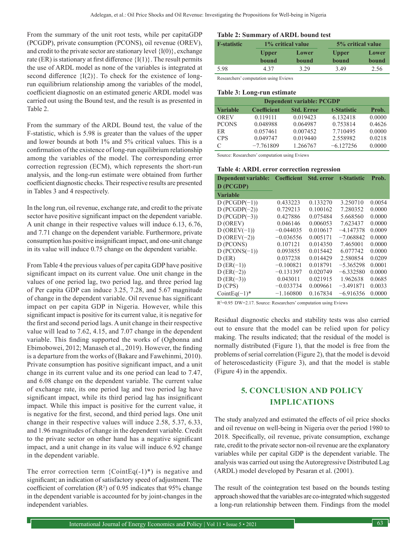From the summary of the unit root tests, while per capitaGDP (PCGDP), private consumption (PCONS), oil revenue (OREV), and credit to the private sector are stationary level  $\{I(0)\}\)$ , exchange rate (ER) is stationary at first difference  ${I(1)}$ . The result permits the use of ARDL model as none of the variables is integrated at second difference  ${I(2)}$ . To check for the existence of longrun equilibrium relationship among the variables of the model, coefficient diagnostic on an estimated generic ARDL model was carried out using the Bound test, and the result is as presented in Table 2.

From the summary of the ARDL Bound test, the value of the F-statistic, which is 5.98 is greater than the values of the upper and lower bounds at both 1% and 5% critical values. This is a confirmation of the existence of long-run equilibrium relationship among the variables of the model. The corresponding error correction regression (ECM), which represents the short-run analysis, and the long-run estimate were obtained from further coefficient diagnostic checks. Their respective results are presented in Tables 3 and 4 respectively.

In the long run, oil revenue, exchange rate, and credit to the private sector have positive significant impact on the dependent variable. A unit change in their respective values will induce 6.13, 6.76, and 7.71 change on the dependent variable. Furthermore, private consumption has positive insignificant impact, and one-unit change in its value will induce 0.75 change on the dependent variable.

From Table 4 the previous values of per capita GDP have positive significant impact on its current value. One unit change in the values of one period lag, two period lag, and three period lag of Per capita GDP can induce 3.25, 7.28, and 5.67 magnitude of change in the dependent variable. Oil revenue has significant impact on per capita GDP in Nigeria. However, while this significant impact is positive for its current value, it is negative for the first and second period lags. A unit change in their respective value will lead to 7.62, 4.15, and 7.07 change in the dependent variable. This finding supported the works of (Ogbonna and Ebimobowei, 2012; Manaseh et al., 2019). However, the finding is a departure from the works of (Bakare and Fawehinmi, 2010). Private consumption has positive significant impact, and a unit change in its current value and its one period can lead to 7.47, and 6.08 change on the dependent variable. The current value of exchange rate, its one period lag and two period lag have significant impact, while its third period lag has insignificant impact. While this impact is positive for the current value, it is negative for the first, second, and third period lags. One unit change in their respective values will induce 2.58, 5.37, 6.33, and 1.96 magnitudes of change in the dependent variable. Credit to the private sector on other hand has a negative significant impact, and a unit change in its value will induce 6.92 change in the dependent variable.

The error correction term  ${CointEq(-1)*}$  is negative and significant; an indication of satisfactory speed of adjustment. The coefficient of correlation  $(R^2)$  of 0.95 indicates that 95% change in the dependent variable is accounted for by joint-changes in the independent variables.

#### **Table 2: Summary of ARDL bound test**

| <b>F</b> -statistic | 1% critical value |       | 5% critical value |       |
|---------------------|-------------------|-------|-------------------|-------|
|                     | <b>Upper</b>      | Lower | <b>Upper</b>      | Lower |
|                     | bound             | bound | bound             | bound |
| 5.98                | 4.37              | 3.29  | 3.49              | 2.56  |

Researchers' computation using Eviews

#### **Table 3: Long-run estimate**

| <b>Dependent variable: PCGDP</b> |                    |                   |             |        |  |
|----------------------------------|--------------------|-------------------|-------------|--------|--|
| <b>Variable</b>                  | <b>Coefficient</b> | <b>Std. Error</b> | t-Statistic | Prob.  |  |
| <b>OREV</b>                      | 0.119111           | 0.019423          | 6.132418    | 0.0000 |  |
| <b>PCONS</b>                     | 0.048988           | 0.064987          | 0.753814    | 0.4626 |  |
| ER                               | 0.057461           | 0.007452          | 7.710495    | 0.0000 |  |
| <b>CPS</b>                       | 0.049747           | 0.019440          | 2.558982    | 0.0218 |  |
| C                                | $-7.761809$        | 1.266767          | $-6.127256$ | 0.0000 |  |

Source: Researchers' computation using Eviews

#### **Table 4: ARDL error correction regression**

| Dependent variable: Coefficient Std. error t-Statistic |             |          |             | Prob.  |
|--------------------------------------------------------|-------------|----------|-------------|--------|
| D (PCGDP)                                              |             |          |             |        |
| <b>Variable</b>                                        |             |          |             |        |
| $D$ (PCGDP $(-1)$ )                                    | 0.433223    | 0.133270 | 3.250710    | 0.0054 |
| $D$ (PCGDP $(-2)$ )                                    | 0.729213    | 0.100162 | 7.280352    | 0.0000 |
| $D (PCGDP(-3))$                                        | 0.427886    | 0.075484 | 5.668560    | 0.0000 |
| D (OREV)                                               | 0.046146    | 0.006053 | 7.623437    | 0.0000 |
| $D$ (OREV $(-1)$ )                                     | $-0.044035$ | 0.010617 | $-4.147378$ | 0.0009 |
| $D$ (OREV(-2))                                         | $-0.036556$ | 0.005171 | $-7.068842$ | 0.0000 |
| D (PCONS)                                              | 0.107121    | 0.014350 | 7.465001    | 0.0000 |
| $D (PCONS(-1))$                                        | 0.093855    | 0.015442 | 6.077742    | 0.0000 |
| D(ER)                                                  | 0.037238    | 0.014429 | 2.580854    | 0.0209 |
| $D (ER(-1))$                                           | $-0.100821$ | 0.018791 | $-5.365298$ | 0.0001 |
| $D (ER(-2))$                                           | $-0.131397$ | 0.020749 | $-6.332580$ | 0.0000 |
| $D (ER(-3))$                                           | 0.043011    | 0.021915 | 1.962638    | 0.0685 |
| D(CPS)                                                 | $-0.033734$ | 0.009661 | $-3.491871$ | 0.0033 |
| Coint Eq $(-1)^*$                                      | $-1.160800$ | 0.167834 | $-6.916356$ | 0.0000 |

R<sup>2</sup>=0.95 DW=2.17. Source: Researchers' computation using Eviews

Residual diagnostic checks and stability tests was also carried out to ensure that the model can be relied upon for policy making. The results indicated; that the residual of the model is normally distributed (Figure 1), that the model is free from the problems of serial correlation (Figure 2), that the model is devoid of heteroscedasticity (Figure 3), and that the model is stable (Figure 4) in the appendix.

# **5. CONCLUSION AND POLICY IMPLICATIONS**

The study analyzed and estimated the effects of oil price shocks and oil revenue on well-being in Nigeria over the period 1980 to 2018. Specifically, oil revenue, private consumption, exchange rate, credit to the private sector non-oil revenue are the explanatory variables while per capital GDP is the dependent variable. The analysis was carried out using the Autoregressive Distributed Lag (ARDL) model developed by Pesaran et al. (2001).

The result of the cointegration test based on the bounds testing approach showed that the variables are co-integrated which suggested a long-run relationship between them. Findings from the model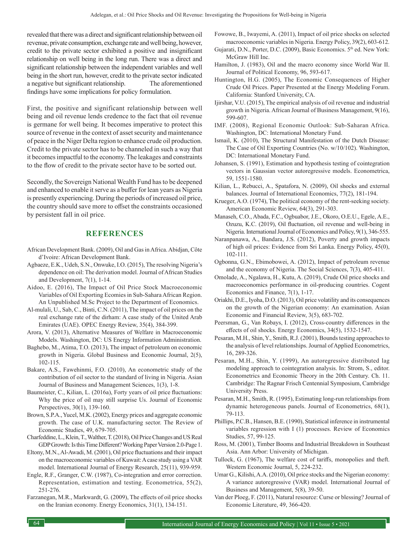revealed that there was a direct and significant relationship between oil revenue, private consumption, exchange rate and well being, however, credit to the private sector exhibited a positive and insignificant relationship on well being in the long run. There was a direct and significant relationship between the independent variables and well being in the short run, however, credit to the private sector indicated a negative but significant relationship. The aforementioned findings have some implications for policy formulation.

First, the positive and significant relationship between well being and oil revenue lends credence to the fact that oil revenue is germane for well being. It becomes imperative to protect this source of revenue in the context of asset security and maintenance of peace in the Niger Delta region to enhance crude oil production. Credit to the private sector has to be channeled in such a way that it becomes impactful to the economy. The leakages and constraints to the flow of credit to the private sector have to be sorted out.

Secondly, the Sovereign National Wealth Fund has to be deepened and enhanced to enable it serve as a buffer for lean years as Nigeria is presently experiencing. During the periods of increased oil price, the country should save more to offset the constraints occasioned by persistent fall in oil price.

### **REFERENCES**

- African Development Bank. (2009), Oil and Gas in Africa. Abidjan, Côte d'Ivoire: African Development Bank.
- Agbaeze, E.K., Udeh, S.N., Onwuke, I.O. (2015), The resolving Nigeria's dependence on oil: The derivation model. Journal of African Studies and Development, 7(1), 1-14.
- Aidoo, E. (2016), The Impact of Oil Price Stock Macroeconomic Variables of Oil Exporting Ecomies in Sub-Sahara African Region. An Unpublished M.Sc Project to the Department of Economics.
- Al-mulali, U., Sab, C., Binti, C.N. (2011), The impact of oil prices on the real exchange rate of the dirham: A case study of the United Arab Emirates (UAE). OPEC Energy Review, 35(4), 384-399.
- Arora, V. (2013), Alternative Measures of Welfare in Macroeconomic Models. Washington, DC: US Energy Information Administration.
- Baghebo, M., Atima, T.O. (2013), The impact of petroleum on economic growth in Nigeria. Global Business and Economic Journal, 2(5), 102-115.
- Bakare, A.S., Fawehinmi, F.O. (2010), An econometric study of the contribution of oil sector to the standard of living in Nigeria. Asian Journal of Business and Management Sciences, 1(3), 1-8.
- Baumeister, C., Kilian, L. (2016a), Forty years of oil price fluctuations: Why the price of oil may still surprise Us. Journal of Economic Perspectives, 30(1), 139-160.
- Brown, S.P.A., Yucel, M.K. (2002), Energy prices and aggregate economic growth. The case of U.K. manufacturing sector. The Review of Economic Studies, 49, 679-705.
- Charfeddine, L., Klein, T., Walther, T. (2018), Oil Price Changes and US Real GDP Growth: Is this Time Different? Working Paper Version 2.0-Page 1.
- Eltony, M.N., Al-Awadi, M. (2001), Oil price fluctuations and their impact on the macroeconomic variables of Kuwait: A case study using a VAR model. International Journal of Energy Research, 25(11), 939-959.
- Engle, R.F., Granger, C.W. (1987), Co-integration and error correction. Representation, estimation and testing. Econometrica, 55(2), 251-276.
- Farzanegan, M.R., Markwardt, G. (2009), The effects of oil price shocks on the Iranian economy. Energy Economics, 31(1), 134-151.
- Fowowe, B., Iwayemi, A. (2011), Impact of oil price shocks on selected macroeconomic variables in Nigeria. Energy Policy, 39(2), 603-612.
- Gujarati, D.N., Porter, D.C. (2009), Basic Economics. 5<sup>th</sup> ed. New York: McGraw Hill Inc.
- Hamilton, J. (1983), Oil and the macro economy since World War II. Journal of Political Economy, 96, 593-617.
- Huntington, H.G. (2005), The Economic Consequences of Higher Crude Oil Prices. Paper Presented at the Energy Modeling Forum. California: Stanford University, CA.
- Ijirshar, V.U. (2015), The empirical analysis of oil revenue and industrial growth in Nigeria. African Journal of Business Management, 9(16), 599-607.
- IMF. (2008), Regional Economic Outlook: Sub-Saharan Africa. Washington, DC: International Monetary Fund.
- Ismail, K. (2010), The Structural Manifestation of the Dutch Disease: The Case of Oil Exporting Countries (No. w/10/102). Washington, DC: International Monetary Fund.
- Johansen, S. (1991), Estimation and hypothesis testing of cointegration vectors in Gaussian vector autoregressive models. Econometrica, 59, 1551-1580.
- Kilian, L., Rebucci, A., Spatafora, N. (2009), Oil shocks and external balances. Journal of International Economics, 77(2), 181-194.
- Krueger, A.O. (1974), The political economy of the rent-seeking society. American Economic Review, 64(3), 291-303.
- Manaseh, C.O., Abada, F.C., Ogbuabor, J.E., Okoro, O.E.U., Egele, A.E., Ozuzu, K.C. (2019), Oil fluctuation, oil revenue and well-being in Nigeria. International Journal of Economics and Policy, 9(1), 346-555.
- Naranpanawa, A., Bandara, J.S. (2012), Poverty and growth impacts of high oil prices: Evidence from Sri Lanka. Energy Policy, 45(0), 102-111.
- Ogbonna, G.N., Ebimobowei, A. (2012), Impact of petroleum revenue and the economy of Nigeria. The Social Sciences, 7(3), 405-411.
- Omolade, A., Ngalawa, H., Kutu, A. (2019), Crude Oil price shocks and macroeconomics performance in oil-producing countries. Cogent Economics and Finance, 7(1), 1-17.
- Oriakhi, D.E., Iyoha, D.O. (2013), Oil price volatility and its consequences on the growth of the Nigerian economy: An examination. Asian Economic and Financial Review, 3(5), 683-702.
- Peersman, G., Van Robays, I. (2012), Cross-country differences in the effects of oil shocks. Energy Economics, 34(5), 1532-1547.
- Pesaran, M.H., Shin, Y., Smith, R.J. (2001), Bounds testing approaches to the analysis of level relationships. Journal of Applied Econometrics, 16, 289-326.
- Pesaran, M.H., Shin, Y. (1999), An autoregressive distributed lag modeling approach to cointegration analysis. In: Strom, S., editor. Econometrics and Economic Theory in the 20th Century. Ch. 11. Cambridge: The Ragnar Frisch Centennial Symposium, Cambridge University Press.
- Pesaran, M.H., Smith, R. (1995), Estimating long-run relationships from dynamic heterogeneous panels. Journal of Econometrics, 68(1), 79-113.
- Phillips, P.C.B., Hansen, B.E. (1990), Statistical inference in instrumental variables regression with I (1) processes. Review of Economics Studies, 57, 99-125.
- Ross, M. (2001), Timber Booms and Industrial Breakdown in Southeast Asia. Ann Arbor: University of Michigan.
- Tullock, G. (1967), The welfare cost of tariffs, monopolies and theft. Western Economic Journal, 5, 224-232.
- Umar G., Kilishi, A.A. (2010), Oil price stocks and the Nigerian economy: A variance autoregressive (VAR) model. International Journal of Business and Management, 5(8), 39-50.
- Van der Ploeg, F. (2011), Natural resource: Curse or blessing? Journal of Economic Literature, 49, 366-420.